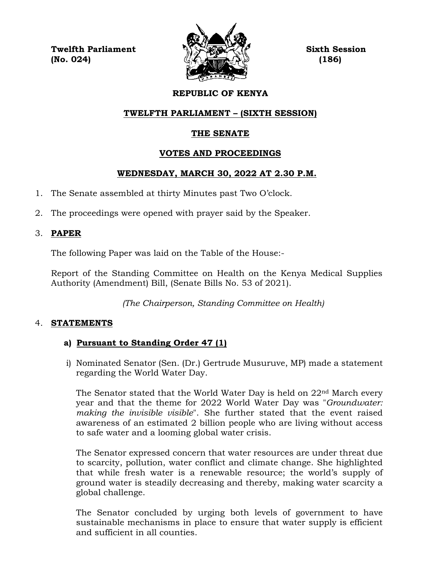**Twelfth Parliament Sixth Session (No. 024) (186)**



# **REPUBLIC OF KENYA**

# **TWELFTH PARLIAMENT – (SIXTH SESSION)**

# **THE SENATE**

# **VOTES AND PROCEEDINGS**

# **WEDNESDAY, MARCH 30, 2022 AT 2.30 P.M.**

- 1. The Senate assembled at thirty Minutes past Two O'clock.
- 2. The proceedings were opened with prayer said by the Speaker.

# 3. **PAPER**

The following Paper was laid on the Table of the House:-

Report of the Standing Committee on Health on the Kenya Medical Supplies Authority (Amendment) Bill, (Senate Bills No. 53 of 2021).

*(The Chairperson, Standing Committee on Health)*

# 4. **STATEMENTS**

# **a) Pursuant to Standing Order 47 (1)**

i) Nominated Senator (Sen. (Dr.) Gertrude Musuruve, MP) made a statement regarding the World Water Day.

The Senator stated that the World Water Day is held on 22nd March every year and that the theme for 2022 World Water Day was "*Groundwater: making the invisible visible*". She further stated that the event raised awareness of an estimated 2 billion people who are living without access to safe water and a looming global water crisis.

The Senator expressed concern that water resources are under threat due to scarcity, pollution, water conflict and climate change. She highlighted that while fresh water is a renewable resource; the world's supply of ground water is steadily decreasing and thereby, making water scarcity a global challenge.

The Senator concluded by urging both levels of government to have sustainable mechanisms in place to ensure that water supply is efficient and sufficient in all counties.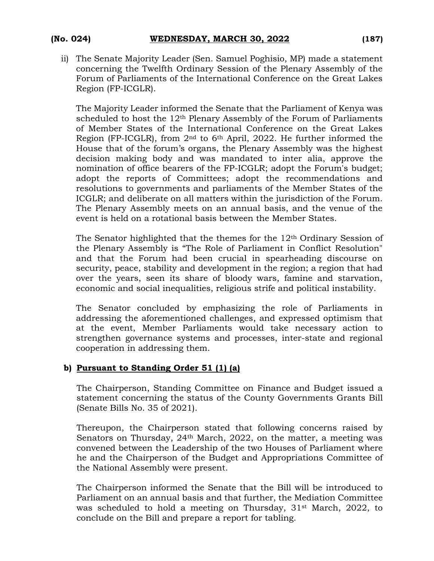ii) The Senate Majority Leader (Sen. Samuel Poghisio, MP) made a statement concerning the Twelfth Ordinary Session of the Plenary Assembly of the Forum of Parliaments of the International Conference on the Great Lakes Region (FP-ICGLR).

The Majority Leader informed the Senate that the Parliament of Kenya was scheduled to host the 12<sup>th</sup> Plenary Assembly of the Forum of Parliaments of Member States of the International Conference on the Great Lakes Region (FP-ICGLR), from 2nd to 6th April, 2022. He further informed the House that of the forum's organs, the Plenary Assembly was the highest decision making body and was mandated to inter alia, approve the nomination of office bearers of the FP-ICGLR; adopt the Forum's budget; adopt the reports of Committees; adopt the recommendations and resolutions to governments and parliaments of the Member States of the ICGLR; and deliberate on all matters within the jurisdiction of the Forum. The Plenary Assembly meets on an annual basis, and the venue of the event is held on a rotational basis between the Member States.

The Senator highlighted that the themes for the 12th Ordinary Session of the Plenary Assembly is "The Role of Parliament in Conflict Resolution" and that the Forum had been crucial in spearheading discourse on security, peace, stability and development in the region; a region that had over the years, seen its share of bloody wars, famine and starvation, economic and social inequalities, religious strife and political instability.

The Senator concluded by emphasizing the role of Parliaments in addressing the aforementioned challenges, and expressed optimism that at the event, Member Parliaments would take necessary action to strengthen governance systems and processes, inter-state and regional cooperation in addressing them.

#### **b) Pursuant to Standing Order 51 (1) (a)**

The Chairperson, Standing Committee on Finance and Budget issued a statement concerning the status of the County Governments Grants Bill (Senate Bills No. 35 of 2021).

Thereupon, the Chairperson stated that following concerns raised by Senators on Thursday, 24<sup>th</sup> March, 2022, on the matter, a meeting was convened between the Leadership of the two Houses of Parliament where he and the Chairperson of the Budget and Appropriations Committee of the National Assembly were present.

The Chairperson informed the Senate that the Bill will be introduced to Parliament on an annual basis and that further, the Mediation Committee was scheduled to hold a meeting on Thursday, 31st March, 2022, to conclude on the Bill and prepare a report for tabling.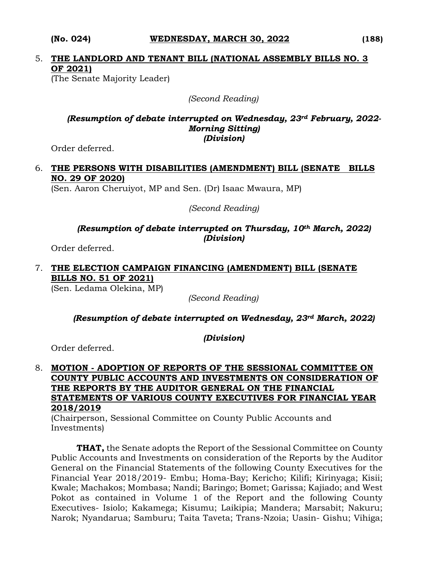# 5. **THE LANDLORD AND TENANT BILL (NATIONAL ASSEMBLY BILLS NO. 3 OF 2021)**

(The Senate Majority Leader)

*(Second Reading)*

#### *(Resumption of debate interrupted on Wednesday, 23rd February, 2022- Morning Sitting) (Division)*

Order deferred.

# 6. **THE PERSONS WITH DISABILITIES (AMENDMENT) BILL (SENATE BILLS NO. 29 OF 2020)**

(Sen. Aaron Cheruiyot, MP and Sen. (Dr) Isaac Mwaura, MP)

*(Second Reading)*

#### *(Resumption of debate interrupted on Thursday, 10th March, 2022) (Division)*

Order deferred.

#### 7. **THE ELECTION CAMPAIGN FINANCING (AMENDMENT) BILL (SENATE BILLS NO. 51 OF 2021)**  (Sen. Ledama Olekina, MP)

*(Second Reading)*

# *(Resumption of debate interrupted on Wednesday, 23rd March, 2022)*

*(Division)*

Order deferred.

### 8. **MOTION - ADOPTION OF REPORTS OF THE SESSIONAL COMMITTEE ON COUNTY PUBLIC ACCOUNTS AND INVESTMENTS ON CONSIDERATION OF THE REPORTS BY THE AUDITOR GENERAL ON THE FINANCIAL STATEMENTS OF VARIOUS COUNTY EXECUTIVES FOR FINANCIAL YEAR 2018/2019**

(Chairperson, Sessional Committee on County Public Accounts and Investments)

**THAT,** the Senate adopts the Report of the Sessional Committee on County Public Accounts and Investments on consideration of the Reports by the Auditor General on the Financial Statements of the following County Executives for the Financial Year 2018/2019- Embu; Homa-Bay; Kericho; Kilifi; Kirinyaga; Kisii; Kwale; Machakos; Mombasa; Nandi; Baringo; Bomet; Garissa; Kajiado; and West Pokot as contained in Volume 1 of the Report and the following County Executives- Isiolo; Kakamega; Kisumu; Laikipia; Mandera; Marsabit; Nakuru; Narok; Nyandarua; Samburu; Taita Taveta; Trans-Nzoia; Uasin- Gishu; Vihiga;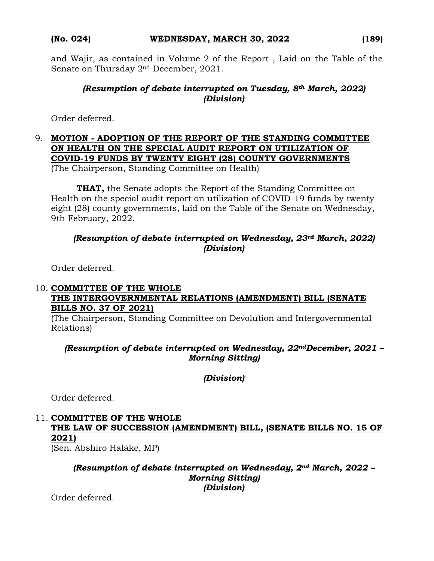and Wajir, as contained in Volume 2 of the Report , Laid on the Table of the Senate on Thursday 2nd December, 2021.

# *(Resumption of debate interrupted on Tuesday, 8th March, 2022) (Division)*

Order deferred.

#### 9. **MOTION - ADOPTION OF THE REPORT OF THE STANDING COMMITTEE ON HEALTH ON THE SPECIAL AUDIT REPORT ON UTILIZATION OF COVID-19 FUNDS BY TWENTY EIGHT (28) COUNTY GOVERNMENTS** (The Chairperson, Standing Committee on Health)

**THAT,** the Senate adopts the Report of the Standing Committee on Health on the special audit report on utilization of COVID-19 funds by twenty eight (28) county governments, laid on the Table of the Senate on Wednesday, 9th February, 2022.

# *(Resumption of debate interrupted on Wednesday, 23rd March, 2022) (Division)*

Order deferred.

# 10. **COMMITTEE OF THE WHOLE THE INTERGOVERNMENTAL RELATIONS (AMENDMENT) BILL (SENATE BILLS NO. 37 OF 2021)**

(The Chairperson, Standing Committee on Devolution and Intergovernmental Relations)

*(Resumption of debate interrupted on Wednesday, 22ndDecember, 2021 – Morning Sitting)*

*(Division)*

Order deferred.

# 11. **COMMITTEE OF THE WHOLE THE LAW OF SUCCESSION (AMENDMENT) BILL, (SENATE BILLS NO. 15 OF 2021)**

(Sen. Abshiro Halake, MP)

#### *(Resumption of debate interrupted on Wednesday, 2nd March, 2022 – Morning Sitting) (Division)*

Order deferred.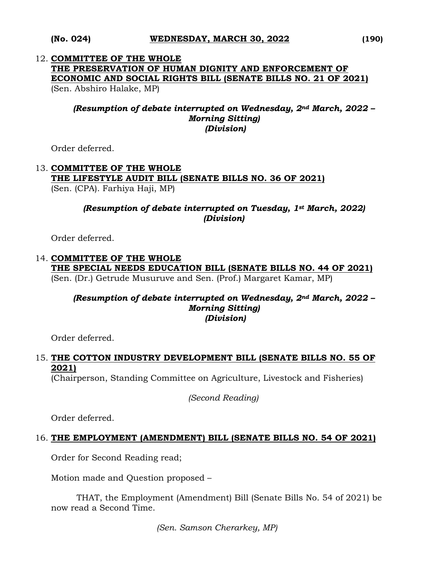# 12. **COMMITTEE OF THE WHOLE THE PRESERVATION OF HUMAN DIGNITY AND ENFORCEMENT OF ECONOMIC AND SOCIAL RIGHTS BILL (SENATE BILLS NO. 21 OF 2021)**

(Sen. Abshiro Halake, MP)

#### *(Resumption of debate interrupted on Wednesday, 2nd March, 2022 – Morning Sitting) (Division)*

Order deferred.

#### 13. **COMMITTEE OF THE WHOLE THE LIFESTYLE AUDIT BILL (SENATE BILLS NO. 36 OF 2021)**  (Sen. (CPA). Farhiya Haji, MP)

#### *(Resumption of debate interrupted on Tuesday, 1st March, 2022) (Division)*

Order deferred.

#### 14. **COMMITTEE OF THE WHOLE THE SPECIAL NEEDS EDUCATION BILL (SENATE BILLS NO. 44 OF 2021)** (Sen. (Dr.) Getrude Musuruve and Sen. (Prof.) Margaret Kamar, MP)

#### *(Resumption of debate interrupted on Wednesday, 2nd March, 2022 – Morning Sitting) (Division)*

Order deferred.

## 15. **THE COTTON INDUSTRY DEVELOPMENT BILL (SENATE BILLS NO. 55 OF 2021)**

(Chairperson, Standing Committee on Agriculture, Livestock and Fisheries)

*(Second Reading)*

Order deferred.

#### 16. **THE EMPLOYMENT (AMENDMENT) BILL (SENATE BILLS NO. 54 OF 2021)**

Order for Second Reading read;

Motion made and Question proposed –

THAT, the Employment (Amendment) Bill (Senate Bills No. 54 of 2021) be now read a Second Time.

*(Sen. Samson Cherarkey, MP)*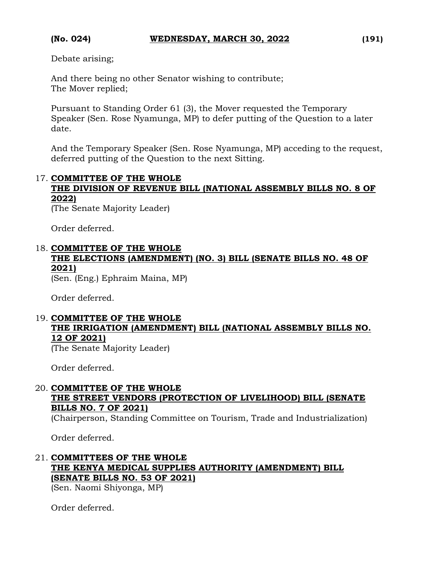Debate arising;

And there being no other Senator wishing to contribute; The Mover replied;

Pursuant to Standing Order 61 (3), the Mover requested the Temporary Speaker (Sen. Rose Nyamunga, MP) to defer putting of the Question to a later date.

And the Temporary Speaker (Sen. Rose Nyamunga, MP) acceding to the request, deferred putting of the Question to the next Sitting.

#### 17. **COMMITTEE OF THE WHOLE**

# **THE DIVISION OF REVENUE BILL (NATIONAL ASSEMBLY BILLS NO. 8 OF 2022)**

(The Senate Majority Leader)

Order deferred.

### 18. **COMMITTEE OF THE WHOLE THE ELECTIONS (AMENDMENT) (NO. 3) BILL (SENATE BILLS NO. 48 OF 2021)**

(Sen. (Eng.) Ephraim Maina, MP)

Order deferred.

# 19. **COMMITTEE OF THE WHOLE THE IRRIGATION (AMENDMENT) BILL (NATIONAL ASSEMBLY BILLS NO. 12 OF 2021)**

(The Senate Majority Leader)

Order deferred.

# 20. **COMMITTEE OF THE WHOLE THE STREET VENDORS (PROTECTION OF LIVELIHOOD) BILL (SENATE BILLS NO. 7 OF 2021)**

(Chairperson, Standing Committee on Tourism, Trade and Industrialization)

Order deferred.

# 21. **COMMITTEES OF THE WHOLE THE KENYA MEDICAL SUPPLIES AUTHORITY (AMENDMENT) BILL (SENATE BILLS NO. 53 OF 2021)**

(Sen. Naomi Shiyonga, MP)

Order deferred.